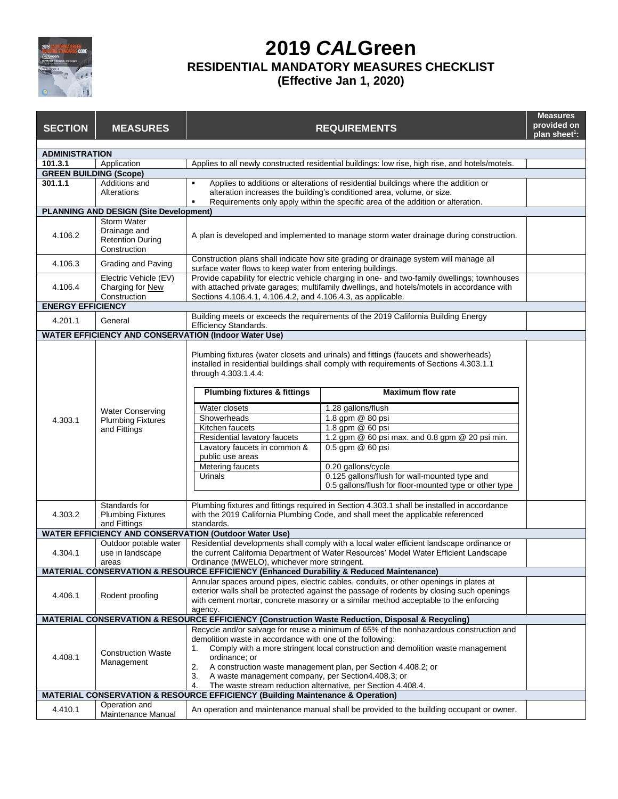

## **2019** *CAL***Green RESIDENTIAL MANDATORY MEASURES CHECKLIST (Effective Jan 1, 2020)**

| <b>SECTION</b>                | <b>MEASURES</b>                                                               |                                                                                                                                                                                                                                                                                | <b>REQUIREMENTS</b>                                                                                                                                                                                                                             | <b>Measures</b><br>provided on<br>plan sheet <sup>1</sup> : |
|-------------------------------|-------------------------------------------------------------------------------|--------------------------------------------------------------------------------------------------------------------------------------------------------------------------------------------------------------------------------------------------------------------------------|-------------------------------------------------------------------------------------------------------------------------------------------------------------------------------------------------------------------------------------------------|-------------------------------------------------------------|
| <b>ADMINISTRATION</b>         |                                                                               |                                                                                                                                                                                                                                                                                |                                                                                                                                                                                                                                                 |                                                             |
| 101.3.1                       | Application                                                                   |                                                                                                                                                                                                                                                                                | Applies to all newly constructed residential buildings: low rise, high rise, and hotels/motels.                                                                                                                                                 |                                                             |
| <b>GREEN BUILDING (Scope)</b> |                                                                               |                                                                                                                                                                                                                                                                                |                                                                                                                                                                                                                                                 |                                                             |
| 301.1.1                       | Additions and<br>Alterations                                                  | $\blacksquare$                                                                                                                                                                                                                                                                 | Applies to additions or alterations of residential buildings where the addition or<br>alteration increases the building's conditioned area, volume, or size.<br>Requirements only apply within the specific area of the addition or alteration. |                                                             |
|                               | <b>PLANNING AND DESIGN (Site Development)</b>                                 |                                                                                                                                                                                                                                                                                |                                                                                                                                                                                                                                                 |                                                             |
| 4.106.2                       | <b>Storm Water</b><br>Drainage and<br><b>Retention During</b><br>Construction | A plan is developed and implemented to manage storm water drainage during construction.                                                                                                                                                                                        |                                                                                                                                                                                                                                                 |                                                             |
| 4.106.3                       | Grading and Paving                                                            | Construction plans shall indicate how site grading or drainage system will manage all<br>surface water flows to keep water from entering buildings.                                                                                                                            |                                                                                                                                                                                                                                                 |                                                             |
| 4.106.4                       | Electric Vehicle (EV)<br>Charging for New<br>Construction                     | Provide capability for electric vehicle charging in one- and two-family dwellings; townhouses<br>with attached private garages; multifamily dwellings, and hotels/motels in accordance with<br>Sections 4.106.4.1, 4.106.4.2, and 4.106.4.3, as applicable.                    |                                                                                                                                                                                                                                                 |                                                             |
| <b>ENERGY EFFICIENCY</b>      |                                                                               |                                                                                                                                                                                                                                                                                |                                                                                                                                                                                                                                                 |                                                             |
| 4.201.1                       | General                                                                       | Efficiency Standards.                                                                                                                                                                                                                                                          | Building meets or exceeds the requirements of the 2019 California Building Energy                                                                                                                                                               |                                                             |
|                               |                                                                               | <b>WATER EFFICIENCY AND CONSERVATION (Indoor Water Use)</b>                                                                                                                                                                                                                    |                                                                                                                                                                                                                                                 |                                                             |
|                               | <b>Water Conserving</b><br><b>Plumbing Fixtures</b><br>and Fittings           | Plumbing fixtures (water closets and urinals) and fittings (faucets and showerheads)<br>installed in residential buildings shall comply with requirements of Sections 4.303.1.1<br>through 4.303.1.4.4:<br><b>Maximum flow rate</b><br><b>Plumbing fixtures &amp; fittings</b> |                                                                                                                                                                                                                                                 |                                                             |
|                               |                                                                               |                                                                                                                                                                                                                                                                                |                                                                                                                                                                                                                                                 |                                                             |
|                               |                                                                               | Water closets                                                                                                                                                                                                                                                                  | 1.28 gallons/flush                                                                                                                                                                                                                              |                                                             |
| 4.303.1                       |                                                                               | Showerheads                                                                                                                                                                                                                                                                    | 1.8 gpm @ 80 psi                                                                                                                                                                                                                                |                                                             |
|                               |                                                                               | Kitchen faucets<br>Residential lavatory faucets                                                                                                                                                                                                                                | 1.8 gpm @ 60 psi<br>1.2 gpm @ 60 psi max. and 0.8 gpm @ 20 psi min.                                                                                                                                                                             |                                                             |
|                               |                                                                               | Lavatory faucets in common &                                                                                                                                                                                                                                                   | 0.5 gpm @ 60 psi                                                                                                                                                                                                                                |                                                             |
|                               |                                                                               | public use areas                                                                                                                                                                                                                                                               |                                                                                                                                                                                                                                                 |                                                             |
|                               |                                                                               | Metering faucets                                                                                                                                                                                                                                                               | 0.20 gallons/cycle                                                                                                                                                                                                                              |                                                             |
|                               |                                                                               | Urinals                                                                                                                                                                                                                                                                        | 0.125 gallons/flush for wall-mounted type and                                                                                                                                                                                                   |                                                             |
|                               |                                                                               |                                                                                                                                                                                                                                                                                | 0.5 gallons/flush for floor-mounted type or other type                                                                                                                                                                                          |                                                             |
|                               | Standards for                                                                 | Plumbing fixtures and fittings required in Section 4.303.1 shall be installed in accordance<br>with the 2019 California Plumbing Code, and shall meet the applicable referenced                                                                                                |                                                                                                                                                                                                                                                 |                                                             |
| 4.303.2                       | <b>Plumbing Fixtures</b>                                                      |                                                                                                                                                                                                                                                                                |                                                                                                                                                                                                                                                 |                                                             |
|                               | and Fittings                                                                  | standards.                                                                                                                                                                                                                                                                     |                                                                                                                                                                                                                                                 |                                                             |
|                               |                                                                               | <b>WATER EFFICIENCY AND CONSERVATION (Outdoor Water Use)</b>                                                                                                                                                                                                                   |                                                                                                                                                                                                                                                 |                                                             |
| 4.304.1                       | Outdoor potable water<br>use in landscape                                     | Residential developments shall comply with a local water efficient landscape ordinance or<br>the current California Department of Water Resources' Model Water Efficient Landscape                                                                                             |                                                                                                                                                                                                                                                 |                                                             |
|                               | areas                                                                         | Ordinance (MWELO), whichever more stringent.                                                                                                                                                                                                                                   |                                                                                                                                                                                                                                                 |                                                             |
|                               |                                                                               | MATERIAL CONSERVATION & RESOURCE EFFICIENCY (Enhanced Durability & Reduced Maintenance)                                                                                                                                                                                        |                                                                                                                                                                                                                                                 |                                                             |
|                               | Rodent proofing                                                               |                                                                                                                                                                                                                                                                                | Annular spaces around pipes, electric cables, conduits, or other openings in plates at                                                                                                                                                          |                                                             |
| 4.406.1                       |                                                                               | exterior walls shall be protected against the passage of rodents by closing such openings<br>with cement mortar, concrete masonry or a similar method acceptable to the enforcing                                                                                              |                                                                                                                                                                                                                                                 |                                                             |
|                               |                                                                               | agency.                                                                                                                                                                                                                                                                        |                                                                                                                                                                                                                                                 |                                                             |
|                               |                                                                               |                                                                                                                                                                                                                                                                                | MATERIAL CONSERVATION & RESOURCE EFFICIENCY (Construction Waste Reduction, Disposal & Recycling)                                                                                                                                                |                                                             |
| 4.408.1                       |                                                                               |                                                                                                                                                                                                                                                                                | Recycle and/or salvage for reuse a minimum of 65% of the nonhazardous construction and                                                                                                                                                          |                                                             |
|                               | <b>Construction Waste</b><br>Management                                       | demolition waste in accordance with one of the following:                                                                                                                                                                                                                      |                                                                                                                                                                                                                                                 |                                                             |
|                               |                                                                               | Comply with a more stringent local construction and demolition waste management<br>1.                                                                                                                                                                                          |                                                                                                                                                                                                                                                 |                                                             |
|                               |                                                                               | ordinance: or                                                                                                                                                                                                                                                                  |                                                                                                                                                                                                                                                 |                                                             |
|                               |                                                                               | 2.<br>A construction waste management plan, per Section 4.408.2; or<br>3.<br>A waste management company, per Section4.408.3; or                                                                                                                                                |                                                                                                                                                                                                                                                 |                                                             |
|                               |                                                                               | The waste stream reduction alternative, per Section 4.408.4.<br>4.                                                                                                                                                                                                             |                                                                                                                                                                                                                                                 |                                                             |
|                               |                                                                               | <b>MATERIAL CONSERVATION &amp; RESOURCE EFFICIENCY (Building Maintenance &amp; Operation)</b>                                                                                                                                                                                  |                                                                                                                                                                                                                                                 |                                                             |
| 4.410.1                       | Operation and<br>Maintenance Manual                                           |                                                                                                                                                                                                                                                                                | An operation and maintenance manual shall be provided to the building occupant or owner.                                                                                                                                                        |                                                             |